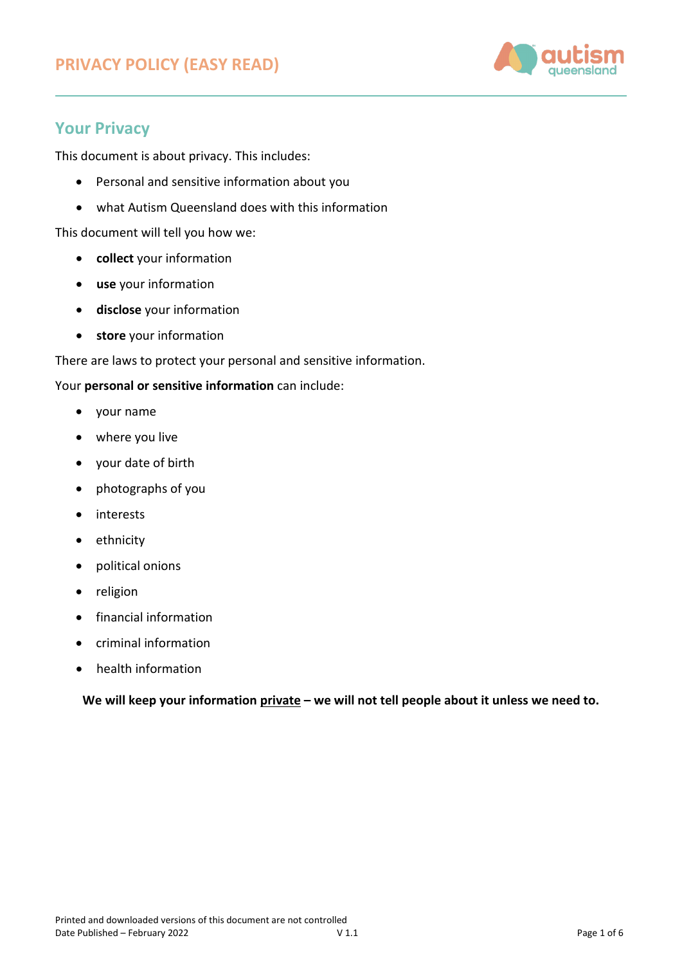

# **Your Privacy**

This document is about privacy. This includes:

- Personal and sensitive information about you
- what Autism Queensland does with this information

This document will tell you how we:

- **collect** your information
- **use** your information
- **disclose** your information
- **store** your information

There are laws to protect your personal and sensitive information.

## Your **personal or sensitive information** can include:

- your name
- where you live
- your date of birth
- photographs of you
- interests
- ethnicity
- political onions
- religion
- financial information
- criminal information
- health information

**We will keep your information private – we will not tell people about it unless we need to.**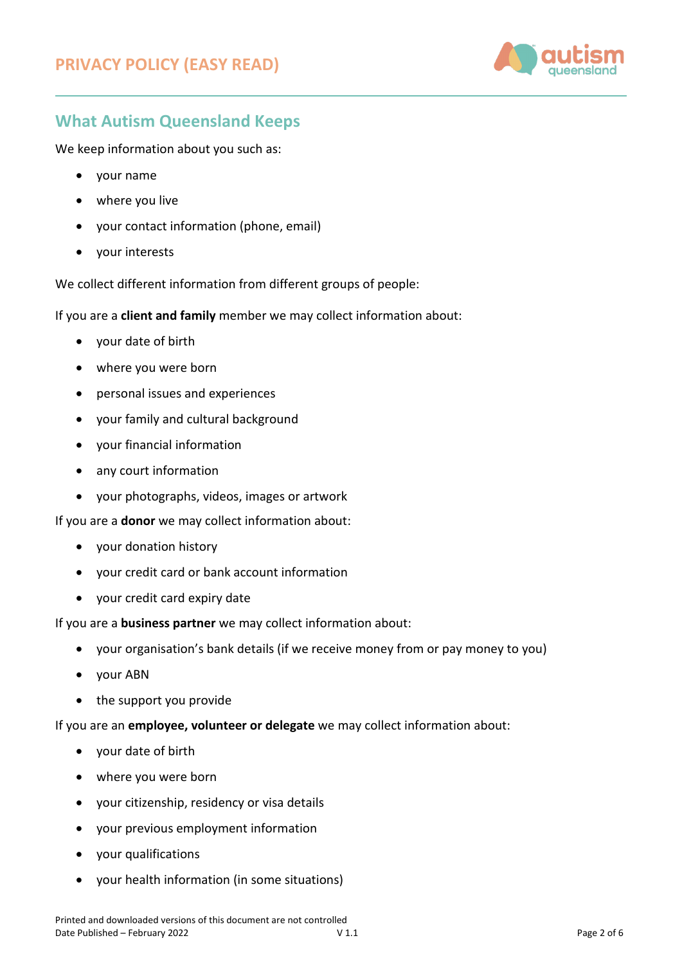

# **What Autism Queensland Keeps**

We keep information about you such as:

- your name
- where you live
- your contact information (phone, email)
- your interests

We collect different information from different groups of people:

If you are a **client and family** member we may collect information about:

- your date of birth
- where you were born
- personal issues and experiences
- your family and cultural background
- your financial information
- any court information
- your photographs, videos, images or artwork

If you are a **donor** we may collect information about:

- your donation history
- your credit card or bank account information
- your credit card expiry date

If you are a **business partner** we may collect information about:

- your organisation's bank details (if we receive money from or pay money to you)
- your ABN
- the support you provide

If you are an **employee, volunteer or delegate** we may collect information about:

- your date of birth
- where you were born
- your citizenship, residency or visa details
- your previous employment information
- your qualifications
- your health information (in some situations)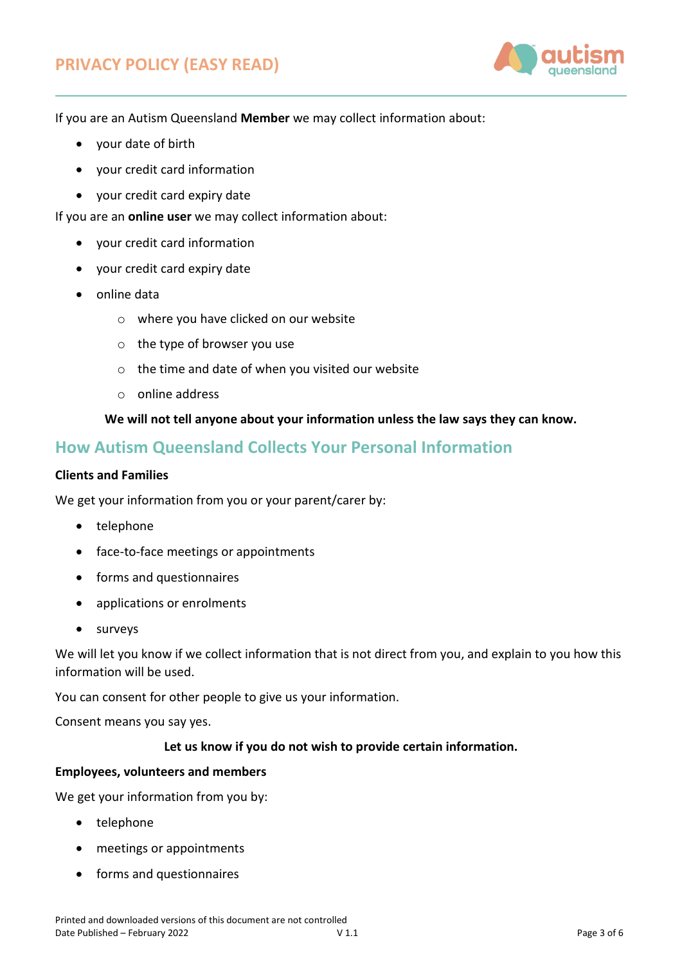

If you are an Autism Queensland **Member** we may collect information about:

- your date of birth
- your credit card information
- your credit card expiry date

If you are an **online user** we may collect information about:

- your credit card information
- your credit card expiry date
- online data
	- o where you have clicked on our website
	- o the type of browser you use
	- o the time and date of when you visited our website
	- o online address

## **We will not tell anyone about your information unless the law says they can know.**

## **How Autism Queensland Collects Your Personal Information**

## **Clients and Families**

We get your information from you or your parent/carer by:

- telephone
- face-to-face meetings or appointments
- forms and questionnaires
- applications or enrolments
- surveys

We will let you know if we collect information that is not direct from you, and explain to you how this information will be used.

You can consent for other people to give us your information.

Consent means you say yes.

## **Let us know if you do not wish to provide certain information.**

#### **Employees, volunteers and members**

We get your information from you by:

- telephone
- meetings or appointments
- forms and questionnaires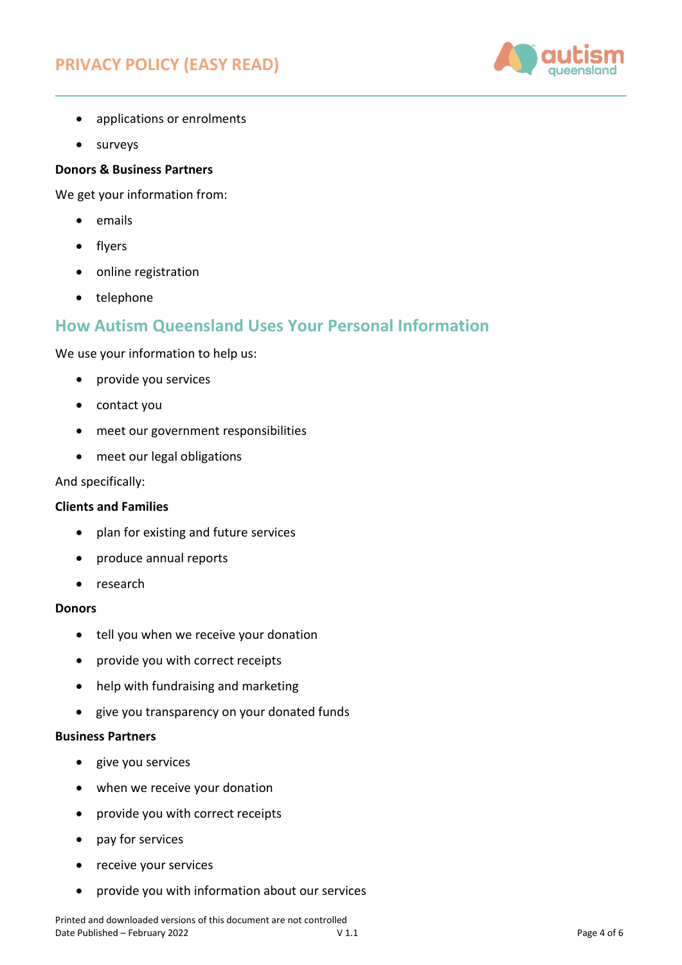# **PRIVACY POLICY (EASY READ)**



- applications or enrolments
- surveys

## **Donors & Business Partners**

We get your information from:

- emails
- flyers
- online registration
- telephone

## **How Autism Queensland Uses Your Personal Information**

We use your information to help us:

- provide you services
- contact you
- meet our government responsibilities
- meet our legal obligations

And specifically:

## **Clients and Families**

- plan for existing and future services
- produce annual reports
- research

#### **Donors**

- tell you when we receive your donation
- provide you with correct receipts
- help with fundraising and marketing
- give you transparency on your donated funds

## **Business Partners**

- give you services
- when we receive your donation
- provide you with correct receipts
- pay for services
- receive your services
- provide you with information about our services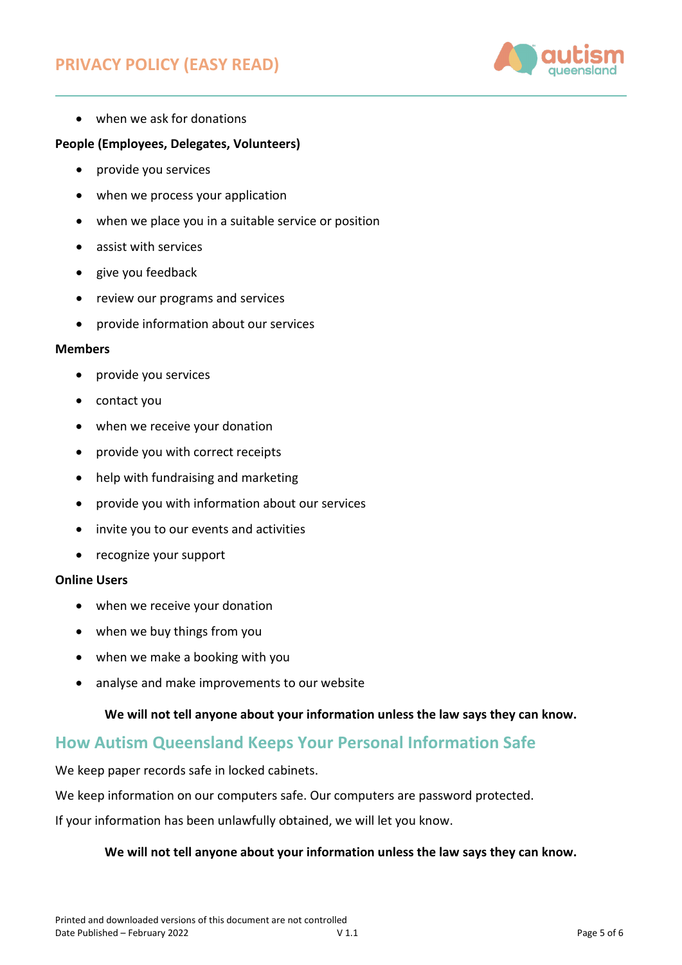# **PRIVACY POLICY (EASY READ)**



• when we ask for donations

## **People (Employees, Delegates, Volunteers)**

- provide you services
- when we process your application
- when we place you in a suitable service or position
- assist with services
- give you feedback
- review our programs and services
- provide information about our services

#### **Members**

- provide you services
- contact you
- when we receive your donation
- provide you with correct receipts
- help with fundraising and marketing
- provide you with information about our services
- invite you to our events and activities
- recognize your support

## **Online Users**

- when we receive your donation
- when we buy things from you
- when we make a booking with you
- analyse and make improvements to our website

## **We will not tell anyone about your information unless the law says they can know.**

## **How Autism Queensland Keeps Your Personal Information Safe**

We keep paper records safe in locked cabinets.

We keep information on our computers safe. Our computers are password protected.

If your information has been unlawfully obtained, we will let you know.

## **We will not tell anyone about your information unless the law says they can know.**